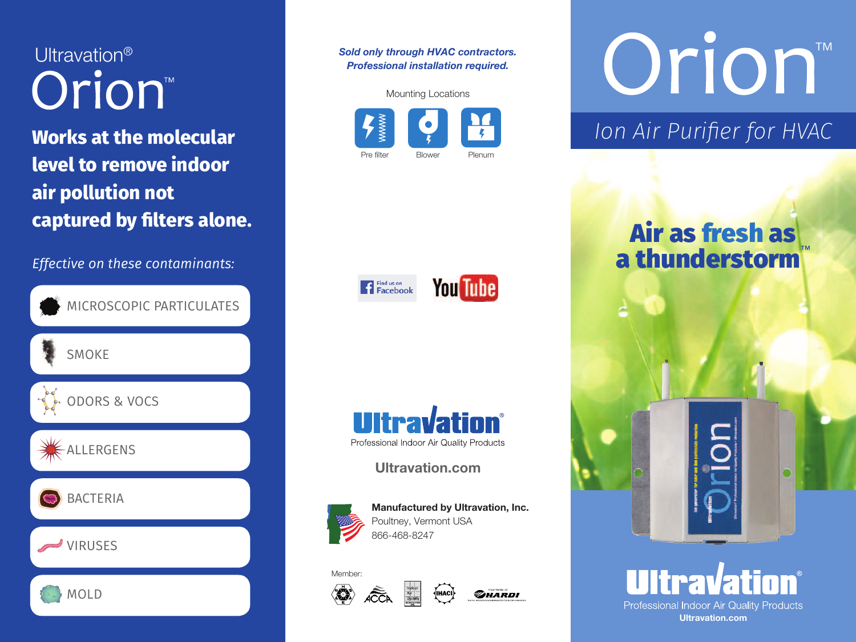Ultravation<sup>®</sup> Orion<sup>®</sup>

**Works at the molecular level to remove indoor air pollution not captured by filters alone.**

*Effective on these contaminants:*



*Sold only through HVAC contractors. Professional installation required.*



Orion<sup>TM</sup>

## *Ion Air Purifier for HVAC*

## **Air as fresh as <sup>a</sup> thunderstorm**™



**You Tube** 

<sup>Find us on</sup><br>Facebook

**Ultravation.com**



**Manufactured by Ultravation, Inc.** Poultney, Vermont USA 866-468-8247

√IHACI

### Member: